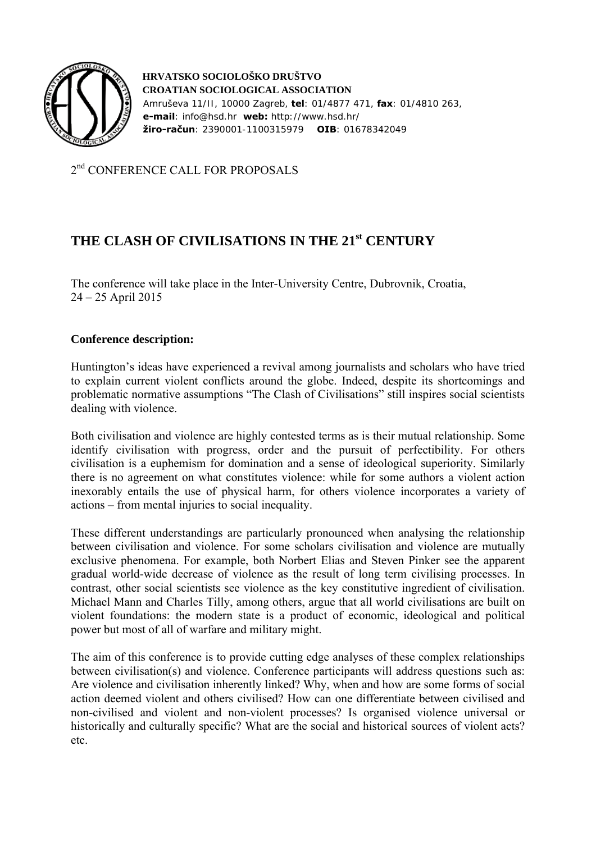

 **HRVATSKO SOCIOLOŠKO DRUŠTVO CROATIAN SOCIOLOGICAL ASSOCIATION**  Amruševa 11/II, 10000 Zagreb, **tel**: 01/4877 471, **fax**: 01/4810 263,  **e-mail**: info@hsd.hr **web:** http://www.hsd.hr/  **žiro-račun**: 2390001-1100315979 **OIB**: 01678342049

2<sup>nd</sup> CONFERENCE CALL FOR PROPOSALS

## **THE CLASH OF CIVILISATIONS IN THE 21st CENTURY**

The conference will take place in the Inter-University Centre, Dubrovnik, Croatia, 24 – 25 April 2015

## **Conference description:**

Huntington's ideas have experienced a revival among journalists and scholars who have tried to explain current violent conflicts around the globe. Indeed, despite its shortcomings and problematic normative assumptions "The Clash of Civilisations" still inspires social scientists dealing with violence.

Both civilisation and violence are highly contested terms as is their mutual relationship. Some identify civilisation with progress, order and the pursuit of perfectibility. For others civilisation is a euphemism for domination and a sense of ideological superiority. Similarly there is no agreement on what constitutes violence: while for some authors a violent action inexorably entails the use of physical harm, for others violence incorporates a variety of actions – from mental injuries to social inequality.

These different understandings are particularly pronounced when analysing the relationship between civilisation and violence. For some scholars civilisation and violence are mutually exclusive phenomena. For example, both Norbert Elias and Steven Pinker see the apparent gradual world-wide decrease of violence as the result of long term civilising processes. In contrast, other social scientists see violence as the key constitutive ingredient of civilisation. Michael Mann and Charles Tilly, among others, argue that all world civilisations are built on violent foundations: the modern state is a product of economic, ideological and political power but most of all of warfare and military might.

The aim of this conference is to provide cutting edge analyses of these complex relationships between civilisation(s) and violence. Conference participants will address questions such as: Are violence and civilisation inherently linked? Why, when and how are some forms of social action deemed violent and others civilised? How can one differentiate between civilised and non-civilised and violent and non-violent processes? Is organised violence universal or historically and culturally specific? What are the social and historical sources of violent acts? etc.